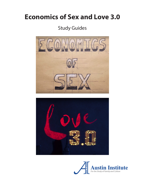# **Economics of Sex and Love 3.0**

## Study Guides





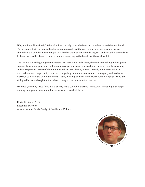Why are these films timely? Why take time not only to watch them, but to reflect on and discuss them? The answer is that our time and culture are more confused than ever about sex, and misinformation abounds in the popular media. People who hold traditional views on dating, sex, and sexuality are made to feel embarrassed by them, as though they were clinging to the belief that the earth is flat.

The truth is something altogether different. As these films make clear, there are compelling philosophical arguments for monogamy and traditional marriage, and social science backs them up. Sex has meaning and consequences – some of them unintended, as described by a look carefully at the economics of sex. Perhaps more importantly, there are compelling emotional connections: monogamy and traditional marriage still resonate within the human heart, fulfilling some of our deepest human longings. They are still good because though the times have changed, our human nature has not.

We hope you enjoy these films and that they leave you with a lasting impression, something that keeps running on repeat in your mind long after you've watched them.

Kevin E. Stuart, Ph.D. Executive Director Austin Institute for the Study of Family and Culture

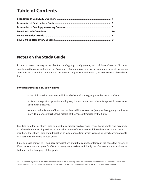## **Table of Contents**

## **Notes on the Study Guide**

In order to make it as easy as possible for church groups, study groups, and traditional classes to dig more deeply into the issues underlying the *Economics of Sex* and *Love 3.0*, we have compiled a set of discussion questions and a sampling of additional resources to help expand and enrich your conversation about these films.

### **For each animated film, you will find:**

- **-** a list of discussion questions, which can be handed out to group members or to students.
- **-** a discussion question guide for small group leaders or teachers, which lists possible answers to each of the questions.
- **-** summarized information/direct quotes from additional sources (along with original graphics) to provide a more comprehensive picture of the issues introduced by the films.

Feel free to tailor this study guide to meet the particular needs of your group. For example, you may wish to reduce the number of questions or to provide copies of one or more additional sources to your group members. This study guide should function as a storehouse from which you can select whatever materials will best meet the needs of your group.

Finally, please contact us if you have any questions about the content contained in the pages that follow, or if we can support your group's efforts to strengthen marriage and family life. Our contact information can be found on the final page of this guide.

*NB: The opinions expressed in the supplementary sources do not necessarily reflect the views of the Austin Institute. Rather, these sources have been included in order to give people an entry into the larger conversations surrounding some of the issues introduced by the films.*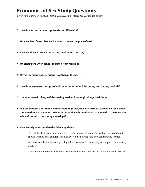## **Economics of Sex Study Questions**

*For the film: http://www.austin-institute.org/research/media/the-economics-of-sex/*

- **1. How do men and women approach sex differently?**
- **2. What societal factors have led women to lower the price of sex?**
- **3. How has the Pill thrown the mating market into disarray?**
- **4. What happens when sex is separated from marriage?**
- **5. Why is the supply of sex higher now than in the past?**
- **6. How does a generous supply of extra-marital sex affect the dating and mating markets?**
- **7. If women were in charge of the mating market, how might things be different?**
- **8. This animation claims that if women work together, they can increase the value of sex. What concrete things can women do in order to achieve this end? What can men do to increase the value of sex and to encourage marriage?**

#### **9. How would you respond to the following claims:**

- **-** The Pill has had many beneficial effects: it has increased women's freedom, allowed them to choose when to bear children, and has leveled the playing field between men and women.
- **-** A simple supply and demand paradigm does not work for something as complex as the mating market.
- **-** This animation presents a negative view of men. Not all men are out for commitment-less sex.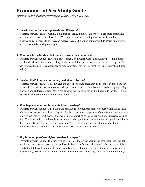## **Economics of Sex Study Guide**

*http://www.austin-institute.org/research/media/the-economics-of-sex/*

#### **1. How do men and women approach sex differently?**

(Possible answers include: Men have a higher sex drive, initiate sex more often, are more permissive and connect romance to sex less often. Women view sex as something that extends beyond mere pleasure and as a means to express and receive love, to strengthen commitment, to affirm desirability, and to ensure relationship security.)

#### **2. What societal factors have led women to lower the price of sex?**

(Possible answers include: The social environment, from which women learn how they should price sex, has devalued it; men aren't willing to pay as much for sex because it is easier to come by; the Pill has removed the natural consequence of pregnancy from sex, so the "cost" of sex is lower than it used to be.)

#### **3. How has the Pill thrown the mating market into disarray?**

(Possible answers include: It has lowered the cost of sex since pregnancy is no longer connected to sex; it has split the mating market into those who just want sex and those who want marriage; by separating marriage and childrearing from sex, it has allowed men to enjoy sex without having to pay for it in the form of marital commitment and relationship security.)

### **4. What happens when sex is separated from marriage?**

(Possible answers include: When the mating market is split between those who just want sex and those who want sex + marriage, the marriage market becomes more competitive. On the whole, men are more likely to seek sex without marriage, so women are competing for a smaller number of marriage-seeking men. The increased competition decreases their solidarity with each other and encourages them to lower their standards and to appeal to what men want. At the same time, marriageable men are able to be more selective and thereby to gain more control over the marriage market.)

### **5. Why is the supply of sex higher now than in the past?**

(Possible answers include: The supply of sex is greater than it has been in the past because the sexual revolution has loosened sexual mores and has declared that free sexual expression is one of the highest goods; the Pill has allowed people to be sexually active without experiencing the natural consequence of pregnancy; women are responding to men's desire for sex without any concomitant commitment.)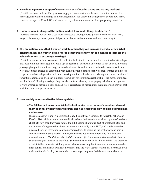### **6. How does a generous supply of extra-marital sex affect the dating and mating markets?**

(Possible answers include: The generous supply of extra-marital sex has decreased the demand for marriage, has put men in charge of the mating market, has delayed marriage (most people now marry between the ages of 25 and 34), and has adversely affected the number of people getting married.)

### **7. If women were in charge of the mating market, how might things be different?**

(Possible answers include: We'd see more impressive wooing efforts, greater investment from men, longer relationships, fewer premarital partners, shorter co-habitations, and more marrying.)

### **8. This animation claims that if women work together, they can increase the value of sex. What concrete things can women do in order to achieve this end? What can men do to increase the value of sex and to encourage marriage?**

(Possible answers include: Women could collectively decide to reserve sex for committed relationships and, best of all, for marriage; they could speak against all portrayals of women as sex objects, including pornographic photos and films, suggestive advertisements, and fashions that clothe women as if they were sex objects; instead of competing with each other for a limited supply of men, women could foster cooperative relationships with each other, looking out for each other's well-being both in and outside of romantic relationships. Men can similarly reserve sex for committed relationships, the most committed relationship of all being marriage; they can abstain from viewing pornography, which encourages men to view women as sexual objects, and can reject caricatures of masculinity that glamorize behavior that is vicious, abusive, perverse, etc.)

#### **9. How would you respond to the following claims:**

### **a. The Pill has had many beneficial effects: it has increased women's freedom, allowed them to choose when to bear children, and has leveled the playing field between men and women.**

(Possible answer: Though a common belief, it's not true. According to Akerlof, Yellen, and Katz's 1996 article, women are more likely to have their freedom restricted by out-of-wedlock childbirth now than they were before the Pill became ubiquitous. Out-of-wedlock births and the number of single mothers have increased dramatically since 1970, and single parenthood places all sorts of restrictions on women's freedom. By reducing the cost of sex and shifting control over the mating market to men, the Pill has not leveled the playing field between men and women. *The Pill has also had detrimental effects on women who would like to bear children but find themselves unable to.* Some medical evidence has indicated that the presence of artificial hormones in drinking water, which cannot help but increase as more women take birth control and urinate synthetic hormones into the water supply system, has decreased both male and female fertility. Women who choose to get pregnant find themselves unable to.)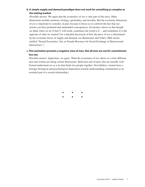### **b. A simple supply and demand paradigm does not work for something as complex as the mating market.**

(Possible answer: We agree that the economics of sex is only part of the story. Other dimensions include emotions, biology, spirituality, and morality. But the economic dimension of sex is important to consider, in part, because it forces us to confront the fact that our actions can have profound and unintended consequences. Economics shows us that though we think when we do X that Y will result, sometimes the result is  $Z...$  and sometimes  $Z$  is the opposite of what we wanted. For a detailed discussion of how the price of sex is determined by the economic forces of supply and demand, see Baumeister and Vohn's 2004 article entitled "Sexual Economics: Sex as Female Resource for Social Exchange in Heterosexual Interactions.")

### **c. This animation presents a negative view of men. Not all men are out for commitmentless sex.**

(Possible answer: Again here, we agree. What the economics of sex shows us is how different men and women are along certain dimensions. Both men and women who are morally wellformed understand sex as a tie that binds two people together. Nevertheless, women have a stronger biological and psychological disposition towards understanding commitment as an essential part of a sexual relationship.)

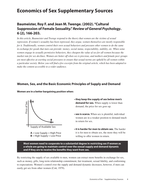## **Economics of Sex Supplementary Sources**

## **Baumeister, Roy F. and Jean M. Twenge. (2002). "Cultural Suppression of Female Sexuality."** *Review of General Psychology***. 6 (2), 166-203.**

*In this article, Baumeister and Twenge respond to the theory that women are the victims of sexual repression. If women's sexuality has been repressed, they argue, women themselves are mostly responsible for it. Traditionally, women control their own sexual behaviors and pressure other women to do the same in exchange for goods that men can provide: money, social status, respectability, stability, etc. When some women engage in sexually permissive behaviors, they cheapen the value of sex for all women because the market rate for sex declines. Women are better off when sex is precious, and mothers and female peer groups are most effective at exerting social pressures to ensure that sexual norms are upheld by all women within a particular society. Below you will find a few excerpts from the original article, which has been adapted to make the content accessible to a wider audience.*

### **Women, Sex, and the Basic Economic Principles of Supply and Demand**



**Women are in a better bargaining position when:**

 $A =$  Low Supply  $=$  High Price  **= High Supply = Low Price** 

- **they keep the supply of sex below men's demand for sex.** When supply is lower than demand, the price for sex goes up.
- **sex is scarce.** When sex is plentiful, individual women are in a weaker position to demand much in return for sex.
- **it is harder for men to obtain sex.** The harder it is for men to obtain sex, the more they will be willing to offer women in return.

**Most women need to cooperate to a substantial degree in restricting sex if women as a whole are going to maintain control over the sexual supply and demand dynamic and if they are to receive the benefits they want from sex.** 

By restricting the supply of sex available to men, women can extract more benefits in exchange for sex, such as money, gifts, long-term relationship commitment, fair treatment, sexual fidelity, and conforming to expectations. Women's control over the supply and demand dynamic decreases, however, if men can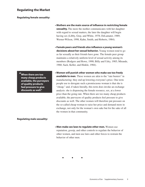### **Regulating the Market**

### **Regulating female sexuality:**

- **Mothers are the main source of influence in restricting female sexuality.** The more the mother communicates with her daughter with regard to sexual matters, the later the daughter will begin having sex (Libby, Gray, and White, 1978; DeLamater, 1989; Werner-Wilson, 1998, Kahn, Smith, and Roberts, 1984).
- **Female peers and friends also influence a young woman's decisions about her sexual behavior.** Young women tend to go as far sexually as their friends have gone. The female peer group maintains a relatively uniform level of sexual activity among its members (Rodgers and Rowe, 1990; Billy and Udry, 1985; Mirande, 1968; Sack, Keller, and Hinkle, 1984).
- **"When there are too many cheap products available, the purveyors of quality products feel pressure to give discounts as well."**
- **Women will punish other women who make sex too freely available to men***.* These women are akin to the "rate busters" in manufacturing: they end up lowering everyone's price. One term people use to derogate such a promiscuous woman is that she is "cheap," and, if taken literally, this term does invoke an exchange analysis: she is dispensing the female resource, sex, at a lower price than the going rate. When there are too many cheap products available, the purveyors of quality products feel pressure to give discounts as well. The other women will therefore put pressure on the so-called cheap woman to raise her price and demand more in exchange, not only for the woman's own sake but for the sake of all the women in that community.

### **Regulating male sexuality:**

**• Men make sex laws to regulate other men.** Women use reputation, gossip, and other controls to regulate the behavior of other women, and men use laws and other forces to restrain the behavior of other men.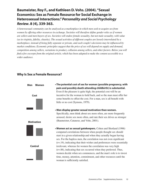## **Baumeister, Roy F., and Kathleen D. Vohs. (2004). "Sexual Economics: Sex as Female Resource for Social Exchange in Heterosexual Interactions."** *Personality and Social Psychology Review***. 8 (4), 339-363.**

*A heterosexual community can be analyzed as a marketplace in which men seek to acquire sex from women by offering other resources in exchange. Societies will therefore define gender roles as if women are sellers and men buyers of sex. Societies will endow female sexuality, but not male sexuality, with value (as in virginity, fidelity, chastity). The sexual activities of different couples are loosely interrelated by a marketplace, instead of being fully separate or private, and each couple's decisions may be influenced by market conditions. Economic principles suggest that the price of sex will depend on supply and demand, competition among sellers, variations in product, collusion among sellers, and other factors. Below you will find a few excerpts from the original article, which has been adapted to make the content accessible to a wider audience.*

### **Why Is Sex a Female Resource?**



**• The potential cost of sex for women (possible pregnancy, with pain and possibly death attending childbirth) is substantial.**  Even if the pleasure is quite high, the potential cost will be an incentive for the woman to hold back, and so the man must offer her some benefits to offset the cost. For a man, sex is all benefit with little or no cost (Symons, 1979).

**• Men display greater sexual motivation than women.** Specifically, men think about sex more often, are more frequently aroused, desire sex more often, and rate their sex drives as stronger (Baumeister, Catanese, and Vohs, 2001).

**• Women act as sexual gatekeepers.** Cohen and Shotland (1996) computed correlations between when people thought sex should start in a given relationship and when they actually began having sex. For the hapless men, the correlation was not even significant  $(r=19)$ , indicating that their wishes and preferences were essentially irrelevant, whereas for women the correlation was very high (r=.88), indicating that sex occurred when they preferred. Thus, women decide when sex commences, and the man's role is to invest time, money, attention, commitment, and other resources until the woman is sufficiently satisfied.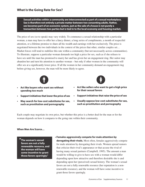**Sexual activities within a community are interconnected as part of a sexual marketplace. Sex is therefore not entirely a private matter between two consenting adults. Rather, sex becomes part of an economic system, just as the sale of a house is not purely a transaction between two parties but is tied in to the local economy and housing market.**

The price of sex (so to speak) may vary widely. To commence a sexual relationship with a particular woman, a man may have to offer her a fancy dinner, a long series of compliments, a month of respectful attention, or a lifetime promise to share all his wealth and earnings with her exclusively. The price is negotiated between the two individuals in the context of the prices that other, similar couples set… Market forces will tend to stabilize this rate within a community (but not necessarily across communities). To illustrate, suppose a particular woman demands too high a price for sex, such as if she refuses to have sex until the man has promised to marry her and has given her an engagement ring. Her suitor may abandon her and turn his attention to another woman – but only if other women in the community will offer sex at a significantly lower price. If all the women in her community demand an engagement ring before giving sex, however, the man will be more likely to agree.





- **Act like buyers who want sex without spending too much**
- **Support initiatives that lower the price of sex**
- **May search for low-cost substitutes for sex, such as prostitution and pornography**
- **Act like sellers who want to get a high price for their sexual favors**
- **Support initiatives that raise the price of sex**
- **Usually oppose low-cost substitutes for sex, such as prostitution and pornography**

Each couple may negotiate its own price, but whether this price is a better deal for the man or for the woman depends on how it compares to the going rate within their community.

### **When Men Are Scarce…**

**"The woman's sexual favors are not a fully renewable resource, and the woman will have some incentive to grant those favors sparingly."**

**• Females aggressively compete for male attention by derogating their rivals.** Most often, females aggressively compete for male attention by derogating their rivals. Women spread rumors that criticize their rival's appearance or that accuse the rival of having many sexual partners (Campbell, 1995). The amount a man would be willing to give to have sex with a woman would differ depending upon how attractive and therefore desirable she is and depending upon her (perceived) sexual history. The woman's sexual favors are not a fully renewable resource (her reputation is a nonrenewable resource), and the woman will have some incentive to grant those favors sparingly.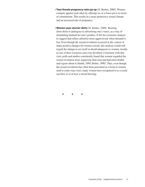- **Teen female pregnancy rates go up** (N. Barber, 2000). Women compete against each other by offering sex at a lower price in terms of commitment. This results in a more permissive sexual climate and an increased rate of pregnancy.
- **Women wear shorter skirts** (N. Barber, 1999). Wearing short skirts is analogous to advertising one's wares, as a way of stimulating demand for one's product. It fits the economic analysis to suggest that sellers advertise more aggressively when demand is low. Even though the sexual revolution occurred in the context of many positive changes for women overall, this analysis would still regard the change in sex itself as disadvantageous to women, insofar as one of their resources (sex) was devalued. Consistent with that view, polls and studies consistently found that women regarded the sexual revolution more negatively than men and had more doubts and regrets about it (Smith, 1994; Rubin, 1990). Thus, even though the sexual revolution has often been presented as a boon to women (and in some ways was), many women have recognized it as a costly sacrifice or as at best a mixed blessing.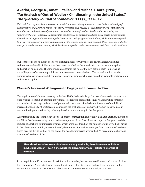## **Akerlof, George A., Janet L. Yellen, and Michael L Katz. (1996). "An Analysis of Out-of-Wedlock Childbearing in the United States."**  *The Quarterly Journal of Economics***. 111 (2), 277-317.**

*This article uses game theory to construct models for determining how an increase in the availability of contraception and abortion paired with their decreasing cost effected a "technology shock" that changed sexual mores and inadvertently increased the number of out-of-wedlock births while decreasing the number of shotgun weddings. Consequent to the decrease in shotgun weddings, more single mothers found themselves raising children or making decisions about their pregnancies all alone, while more men refused to accept responsibility for their children and for the women they had impregnated. Below you will find a few excerpts from the original article, which has been adapted to make the content accessible to a wider audience.*

Our technology shock theory posits two distinct models for why there are fewer shotgun weddings and more out-of-wedlock births now than there were before the introduction of cheap contraception and abortion on demand. The first model emphasizes the role of the new technologies in increasing the willingness of women to participate in uncommitted premarital sex. The second emphasizes the diminished sense of responsibility men feel to care for women who have passed up available contraception and abortion options.

### **Women's Increased Willingness to Engage in Uncommitted Sex**

The legalization of abortion, starting in the late 1960s, induced a large fraction of unmarried women, who were willing to obtain an abortion if pregnant, to engage in premarital sexual relations while forgoing the promise of marriage in the event of premarital conception. Similarly, the invention of the Pill and increased availability of contraception enhanced the willingness of unmarried women to participate in uncommitted, premarital sex by reducing the odds of a pregnancy in the first place.

After introducing the "technology shock" of cheap contraception and readily-available abortion, the use of the Pill at first intercourse by unmarried women jumped from 6 to 15 percent in just a few years, and the number of abortions to unmarried women, which were less than half the number of out-of-wedlock births in the 1960s, grew tenfold, or more. Indeed, the number of abortions grew yet faster than out-of-wedlock births over the 1970s so that, by the end of the decade, unmarried women had 75 percent more abortions than out-of-wedlock births.

**After abortion and contraception become easily available, there is a new equilibrium in which no woman – even if she wants children and marriage – asks for a promise of marriage.**

In this equilibrium if any woman did ask for such a promise, her partner would leave, and she would lose the relationship. A move to this no-commitment trap is likely to reduce welfare for all women. In this example, the gains from the advent of abortion and contraception accrue totally to the men.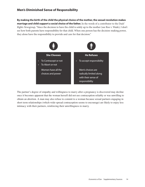### **Men's Diminished Sense of Responsibility**

**By making the birth of the child the physical choice of the mother, the sexual revolution makes marriage and child support a social choice of the father.** In the words of a contributor to the D*ads' Rights Newsgroup*, "Since the decision to have the child is solely up to the mother (see Roe v. Wade), I don't see how both parents have responsibility for that child. When one person has the decision-making power, they alone have the responsibility to provide and care for that decision."



The partner's degree of empathy and willingness to marry after a pregnancy is discovered may decline once it becomes apparent that the woman herself did not use contraception reliably or was unwilling to obtain an abortion. A man may also refuse to commit to a woman because sexual partners engaging in short term relationships (which wide-spread contraception seems to encourage) are likely to enjoy less intimacy with their partners, reinforcing their unwillingness to marry.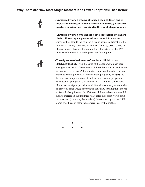### **Why There Are Now More Single Mothers (and Fewer Adoptions) Than Before**





**• Unmarried women who want to keep their children find it increasingly difficult to make (and also to enforce) a contract in which marriage was promised in the event of a pregnancy.**

**• Unmarried women who choose not to contracept or to abort their children typically want to keep them.** It is, then, no surprise that, despite the very large rise in sexual participation, the number of agency adoptions was halved from 86,000 to 43,000 in the five years following the introduction of abortion, or that 1970, the year of our shock, was the peak year for adoptions.



**• The stigma attached to out-of-wedlock childbirth has gradually eroded.** Even the name of the phenomenon has been changed over the last fifteen years: children born out-of-wedlock are no longer referred to as "illegitimate." In former times high school students would quit school in the event of pregnancy. In 1958 the high school completion rate of mothers who became pregnant at seventeen or younger was 19 percent. By 1986 it was 56 percent. Reduction in stigma provides an additional reason why women who, in previous times would have put up their baby for adoption, choose to keep the baby instead. In 1970 most children whose mothers did not get married in the first three years after their birth were put up for adoption (commonly by relatives). In contrast, by the late 1980s about two-thirds of these babies were kept by the mothers.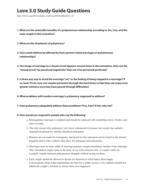## **Love 3.0 Study Guide Questions**

*http://www.austin-institute.org/research/media/love-3/*

- **1. What are the ostensible benefits of a polyamorous relationship according to Jim, Lisa, and the main couple in this animation?**
- **2. What are the drawbacks of polyamory?**
- **3. How could children be affected by their parents' failed marriages or polyamorous relationships?**
- **4. The image of marriage as a closed circuit appears several times in this animation. How can the "closed circuit" be perceived negatively? How can it be perceived positively?**
- **5. Is there any way to avoid the marriage "rut," or the feeling of being trapped in a marriage? If so, how? If not, how can couples persevere through the hard times so that they can enjoy even greater intimacy once they have passed through difficulties?**
- **6. What problems with modern marriage is polyamory supposed to address?**

### **7. Does polyamory adequately address these problems? If so, how? If not, why not?**

#### **8. How would you respond to people who say the following:**

- a. Monogamous marriage is outdated and should be replaced with something newer, fresher, and more exciting.
- b. The only reason why polyamory isn't more widespread is because our society has unfairly stigmatized polyamory and has idealized monogamy.
- c. Humans are not made for monogamy, and proof for this statement can be found in the animal kingdom and in other cultures that allow for polygamy and polyamory.
- d. Marriages may be more stable if marriage partners sought stimulation outside of the marriage. This stimulation might come in the form of sex with someone else. A couple could, for example, simply entertain polyamorous thoughts without acting on them.
- e. Each couple should be allowed to decide for themselves what makes them happy. Conversations about what relationships are best for a stable society or for children should not inhibit the couple's freedom to choose their own happiness.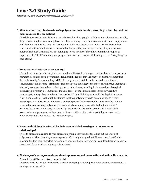## **Love 3.0 Study Guide**

*http://www.austin-institute.org/research/media/love-3/*

### **1. What are the ostensible benefits of a polyamorous relationship according to Jim, Lisa, and the main couple in this animation?**

(Possible answers include: Polyamorous relationships allow people to fully express themselves sexually; they prevent couples from feeling boxed in; they encourage couples to communicate more deeply about their feelings and desires; they are freeing; they build trust because romantic partners know when, where, and with whom their loved ones are hooking up; they encourage honesty; they deconstruct outdated and patriarchal notions of "belonging to one another;" they allow committed couples to experience the "thrill" of dating new people; they take the pressure off the couple to be "everything" to each other.)

### **2. What are the drawbacks of polyamory?**

(Possible answers include: Polyamorous couples will most likely begin to feel jealous of their partners' extramarital affairs; open, polyamorous relationships require that the couple constantly re-negotiate their relationship (a never-ending DTR talk); polyamory destabilizes the marital commitment; "secondaries" can become "primaries," and one spouse could leave the other; polyamorous individuals internally compare themselves to their partners' other lovers, resulting in increased psychological insecurity; polyamory de-emphasizes the uniqueness of the intimate relationship between two spouses; polyamory gives couples an "escape hatch" by which they can avoid the depth that comes when a couple struggles through hard times together; polyamory treats human beings as if they were disposable, pleasure machines that can be dispatched when something more exciting or more pleasurable comes along; polyamory is hard on kids, who may grow attached to their parents' extramarital lovers or who may be shaken by the revelation that their parents' relationship isn't as exclusive and permanent as they thought it was; children of an extramarital liaison may not be embraced by both members of the married couple.)

### **3. How could children be affected by their parents' failed marriages or polyamorous relationships?**

(Note to discussion leaders: If your discussion group doesn't explicitly talk about the effects of polyamory on kids when they discuss question #2, it might be good to follow-up question #2 with question #3. It is very important for people to consider how a polyamorous couple's decision to pursue sexual satisfaction and novelty may affect others.)

### **4. The image of marriage as a closed circuit appears several times in this animation. How can the "closed circuit" be perceived negatively?**

(Possible answers include: The closed circuit makes people feel trapped; it can become monotonous; it stunts personal growth.)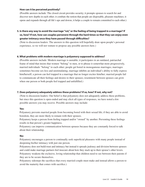### **How can it be perceived positively?**

(Possible answers include: The closed circuit provides security; it prompts spouses to search for and discover new depths in each other; it combats the notion that people are disposable, pleasure machines; it opens and expands through all life's ups and downs; it helps a couple to remain committed to each other.)

### **5. Is there any way to avoid the marriage "rut," or the feeling of being trapped in a marriage? If so, how? If not, how can couples persevere through the hard times so that they can enjoy even greater intimacy once they have passed through difficulties?**

(Note to discussion leaders: The answers to this question will hopefully draw upon people's personal experience, so we will not venture to propose any possible answers here.)

### **6. What problems with modern marriage is polyamory supposed to address?**

(Possible answers include: Modern marriage is unstable; it participates in an outdated, patriarchal frame of mind that insists that women "belong" to men, or to phrase it somewhat more progressively, married individuals "belong" to each other; people get bored in monogamous marriages; marriages sometimes become sex-less and unstimulating; marriage inhibits an individual's ability to fully express him/herself; a person can feel trapped in a marriage that no longer excites him/her; married people fail to communicate all their feelings and desires to their spouses; resentment between spouses can grow when one person or both people feel trapped and unfulfilled.)

### **7. Does polyamory adequately address these problems? If so, how? If not, why not?**

(Note to discussion leaders: Our belief is that polyamory does not adequately address these problems, but since this question is open-ended and may elicit all types of responses, we have noted a few possible answers you may receive. Possible answers may include:

### **Yes:**

Polyamory prevents married people from becoming bored with their sexual life; if they are able to avoid boredom, they are more likely to remain with their spouses.

Polyamory keeps a person from feeling trapped and/or "owned" by another. Preventing these feelings results in that person's greater happiness.

Polyamory can improve communication between spouses because they are constantly forced to talk about their relationship.

### **No:**

Polyamory encourages a person to continually seek superficial pleasures with many people instead of deepening his/her intimacy with just one person.

Polyamory does not build trust and intimacy but instead it spreads jealousy and division between spouses and could make marriage partners feel insecure about how they stack up to their spouse's other lovers. Polyamory weakens the exclusive, loving relationship that children need to see between their parents if they are to be secure themselves.

Polyamory sidesteps the sacrifices that every married couple must make and instead allows a person to avoid the maturity that comes with sacrifice.)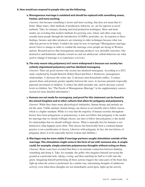#### **8. How would you respond to people who say the following:**

### **a. Monogamous marriage is outdated and should be replaced with something newer, fresher, and more exciting.**

(Answer: Just because something is newer and more exciting, that does not mean that it's better. Many times, older methods of production, behavior, etc. are far superior to novel methods. Take, for instance, farming and food production techniques. More and more studies are revealing that modern methods for growing corn, wheat, and other crops may actually harm people through the introduction of GMOs, pesticides, etc. In response to these findings, farmers and other producers are returning to older techniques because what was older has proven to be better. Couldn't the same be true of marriage? Monogamous marriage doesn't have to change in order to combat the marriage crisis people are facing in Western nations. Research proves that monogamous marriage produces very desirable outcomes. Our destructive and hedonistic attitudes toward sex and our adolescent, selfish behaviors are what need to change if marriage is to experience a revival.)

**b. The only reason why polyamory isn't more widespread is because our society has unfairly stigmatized polyamory and has idealized monogamy.**

(Answer: There are good reasons why society has idealized monogamy. According to a 2012 study conducted by Joseph Henrich, Robert Boyd and Peter J. Richerson, monogamous relationships: 1) decrease the crime rate, 2) decrease intra-household conflict, 3) reduce spousal abuse and promote greater equality between the sexes, 4) increase parental (especially paternal) investment in children, 5) reduce the child mortality rate, and 6) decrease cortisol levels in children. See "The Puzzle of Monogamous Marriage" in the supplementary sources section for more detailed information.)

**c. Humans are not made for monogamy, and proof for this statement can be found in the animal kingdom and in other cultures that allow for polygamy and polyamory.**

(Answer: While they share many physiological similarities, human beings and animals are not the same. Unlike animals, human beings can choose to act morally and to follow reason, which is a higher standard. While it is true that the majority of human societies throughout history have been polygamous or polyamorous, it does not follow that polygamy is the model for marriage that we should willingly choose, nor does it follow that polyamory is the model for relationships that we should willingly choose. What is naturally best for humans is not identical to what happens most often. That slavery has historically been a common human practice is not a justification of slavery. Likewise with polygamy. In fact, the true history of polygamy shows it to be especially bad for women and children.)

**d. Marriages may be more stable if marriage partners sought stimulation outside of the marriage. This stimulation might come in the form of sex with someone else. A couple could, for example, simply entertain polyamorous thoughts without acting on them.** (Answer: Brain scans have revealed that there is an intimate connection between thinking something and doing it. Take, for example, the golfer who imagines himself surveying the ground at a particular hole, taking a swing, and then watching his ball as it rolls onto the green. Imagining himself performing all these actions triggers the same parts of the brain that light up when the action is performed. In a similar way, entertaining thoughts of adulterous activity, even when those thoughts are not immediately acted upon, lights up the activity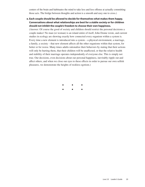centers of the brain and habituates the mind to take less and less offense at actually committing those acts. The bridge between thoughts and action is a smooth and easy one to cross.)

### **e. Each couple should be allowed to decide for themselves what makes them happy. Conversations about what relationships are best for a stable society or for children should not inhibit the couple's freedom to choose their own happiness.**

(Answer: Of course the good of society and children should restrict the personal decisions a couple makes! No man (or woman) is an island entire of itself, John Donne wrote, and current studies in ecology are showing exactly how connected every organism within a system is. Every time a new element is introduced into a system – a physical environment, a marriage, a family, a society – that new element affects all the other organisms within that system, for better or for worse. Many times adults rationalize their behaviors by stating that their actions will only be hurting them, that their children will be unaffected, or that the relative health and stability of their marriage operates independently of everyone else. This is simply not true. Our decisions, even decisions about our personal happiness, inevitably ripple out and affect others, and when we close our eyes to these effects in order to pursue our own selfish pleasures, we demonstrate the heights of reckless egotism.)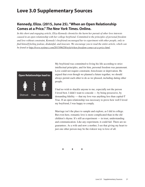## **Love 3.0 Supplementary Sources**

## **Kennedy, Eliza. (2015, June 25). "When an Open Relationship Comes at a Price."** *The New York Times.* **Online.**

*In this short and engaging article, Eliza Kennedy chronicles the harm her pursuit of other love interests caused in an open relationship with her college boyfriend. Committed to the principles of personal freedom and love without constraint, Kennedy's boyfriend encouraged her to experiment with other people, only to find himself feeling jealous, disdainful, and insecure. We encourage you to read the entire article, which can be found at http://www.nytimes.com/2015/06/28/style/when-freedom-comes-at-a-price.html* 



My boyfriend was committed to living his life according to strict intellectual principles, and for him, personal freedom was paramount. Love could not require constraint, foreclosure or deprivation. He argued that even though we planned a future together, we should always permit each other to do as we pleased, including dating other people.

I had no wish to shackle anyone to me, especially not the person I loved best. I didn't want to concede — by being possessive, by demanding fidelity — that my love was anything less than capital-T True. If an open relationship was necessary to prove how well I loved my boyfriend, I was happy to comply.

Marriage isn't the place to sample and explore, as I did in college. But even here, romantic love is more complicated than in the old children's rhyme. It's still an experiment — in trust, understanding and communication. Like any experiment, it could fail. There are no guarantees. As a wife and now a mother, I see that giving my heart to just one other person may be the riskiest way to love of all.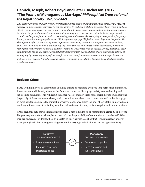## **Henrich, Joseph, Robert Boyd, and Peter J. Richerson. (2012). "The Puzzle of Monogamous Marriage."** *Philosophical Transaction of the Royal Society.* **367, 657-669.**

*This article develops and explores the hypothesis that the norms and institutions that compose the modern package of monogamous marriage have been favored by cultural evolution because of their group-beneficial effects—promoting success in inter-group competition. In suppressing intrasexual competition and reducing the size of the pool of unmarried men, normative monogamy reduces crime rates, including rape, murder, assault, robbery and fraud, as well as decreasing personal abuses. By assuaging the competition for younger brides, normative monogamy decreases (1) the spousal age gap, (2) fertility, and (3) gender inequality. By shifting male efforts from seeking wives to paternal investment, normative monogamy increases savings, child investment and economic productivity. By increasing the relatedness within households, normative monogamy reduces intra-household conflict, leading to lower rates of child neglect, abuse, accidental death and homicide. While this article does not deal with polyamory per se, it does offer a convincing defense of monogamy by presenting many of the benefits that can come from monogamous relationships. Below you will find a few excerpts from the original article, which has been adapted to make the content accessible to a wider audience.*

### **Reduces Crime**

Faced with high levels of competition and little chance of obtaining even one long-term mate, unmarried, low-status men will heavily discount the future and more readily engage in risky status-elevating and sex-seeking behaviors. This will result in higher rates of murder, theft, rape, social disruption, kidnapping (especially of females), sexual slavery and prostitution. As a by-product, these men will probably engage in more substance abuse…By contrast, normative monogamy drains the pool of low-status unmarried men resulting in lower rates of social ills, including reduced rates of crime, social disruption and substance abuse.

Cross-sectional data shows that marriage reduces a man's likelihood of committing a crime by 35 percent. For property and violent crimes, being married cuts the probability of committing a crime by half. When men are divorced or widowed, their crime rates go up. Analyses also show that 'good marriages' are even more prophylactic than average marriages (though marrying a criminal wife has the opposite effect).

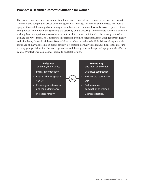### **Provides A Healthier Domestic Situation for Women**

Polygynous marriage increases competition for wives, as married men remain on the marriage market. This increased competition drives down the age of first marriage for females and increases the spousal age gap. Once adolescent girls and young women become wives, older husbands strive to 'protect' their young wives from other males (guarding the paternity of any offspring) and dominate household decisionmaking. More competition also motivates men to seek to control their female relatives (e.g. sisters), as demand for wives increases. This results in suppressing women's freedoms, increasing gender inequality and stimulating domestic violence. Women's loss of influence on household decision-making and their lower age of marriage results in higher fertility. By contrast, normative monogamy diffuses the pressure to bring younger brides into the marriage market, and thereby reduces the spousal age gap, male efforts to control ('protect') women, gender inequality and total fertility.

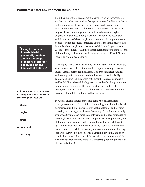### **Produces a Safer Environment for Children**

studies concludes that children from polygamous families experience higher incidences of marital conflict, household violence and family disruptions than do children of monogamous families. Much empirical work in monogamous societies indicates that higher degrees of relatedness among household members are associated with lower rates of abuse, neglect and homicide. Living in the same household with genetically unrelated adults is the single biggest risk factor for abuse, neglect and homicide of children. Stepmothers are 2.4 times more likely to kill their stepchildren than birth mothers, and children living with an unrelated parent are between 15 and 77 times more likely to die accidentally.

From health psychology, a comprehensive review of psychological

Converging with these ideas is long-term research in the Caribbean, which shows how different household compositions impact cortisol levels (a stress hormone) in children. Children in nuclear families with only genetic parents showed the lowest cortisol levels. By contrast, children in households with distant relatives, stepfathers and half-siblings showed the highest cortisol levels of any household composite in the sample. This suggests that the children of polygynous households will run higher cortisol levels owing to the presence of unrelated mothers and half-siblings.

In Africa, diverse studies show that, relative to children from monogamous households, children from polygynous households risk diminished nutritional status, poorer health outcomes and elevated mortality. According to a nineteenth century North American study, while wealthy men had more total offspring and longer reproductive careers (33 years for wealthy men compared to 22 for poor men), the children of poor men had better survival rates for their children to age 15. For poor men, 6.9 of their offspring (per wife) survived on average to age 15, while for wealthy men only 5.5 of their offspring (per wife) survived to age 15. This is amazing, given that the poor men had less than 10 percent of the wealth of the rich men, and the rich men had significantly more total offspring (including those that did not make it to 15).

**"Living in the same household with genetically unrelated adults is the single biggest risk factor for abuse, neglect and homicide of children."**

### **Children whose parents are in polygynous relationships suffer higher rates of:**

**abuse**

**neglect**

**stress**

**poor health**

**mortality**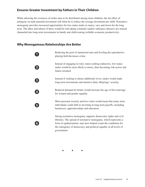### **Ensures Greater Investment by Fathers in Their Children**

While allowing the resources of richer men to be distributed among more children, the net effect of polygyny on male parental investment will often be to reduce the average investment per child. Normative monogamy provides increased opportunities for low-status males to marry, save and invest for the long term. The labor and talents of these would-be risk-taking criminals (and/or substance abusers) are instead channeled into long-term investments in family and child-rearing (reliable economic productivity).

### **Why Monogamous Relationships Are Better**

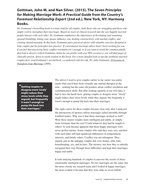## **Gottman, John M. and Nan Silver. (2015). T***he Seven Principles for Making Marriage Work: A Practical Guide from the Country's Foremost Relationship Expert* **(2nd ed.). New York, NY: Harmony Books.**

*Dr. Gottmann's bestselling book is a must-read for all couples, both those who are struggling and those who simply wish to strengthen their marriages. Based on years of clinical research into the way happily married people interact with each other, Dr. Gottmann emphasizes the importance of developing and sustaining spousal friendship, letting your spouse influence you, dealing constructively with marital conflict, and creating shared meaning. In this book, Gottmann pairs practical advice with valuable exercises designed to help couples put his principles into practice. If conventional marriage advice hasn't been working for you, if you feel that practicing basic conflict-resolution isn't enough, or if you want to avoid the common pitfalls that lead to divorce (which Gottmann claims he can predict with over 90% accuracy), you will find pages of clinically-proven, down-to-earth wisdom in this book. For a more detailed look at specific problems married couples face, read Gottmann's second book, co-authored with his wife, Dr. Julie Gottmann, 10 Lessons to Transform Your Marriage (2006).*

**"Getting couples to disagree more 'nicely' might reduce their stress levels while they argued, but frequently it wasn't enough to pump life back into their marriages."**

The advice I used to give couples earlier in my career was pretty much what you'd hear from virtually any marital therapist at the time – nothing but the same old pointers about conflict resolution and communication skills. But after looking squarely at my own data, I had to face the harsh facts: getting couples to disagree more "nicely" might reduce their stress levels while they argued, but frequently it wasn't enough to pump life back into their marriages.

The right course for these couples became clear only after I analyzed the interactions of spouses whose marriages sailed smoothly through troubled waters. Why was it that these marriages worked so well? Were these master couples more intelligent and stable, or simply more fortunate than the rest? Could whatever they had be taught to others? It soon became apparent that these happy marriages were never perfect unions. Some couples who said they were very satisfied with each other still had significant differences in temperament, interests, and family values. Conflict was not infrequent. They argued, just as the unhappy couples did, over money, jobs, kids, housekeeping, sex, and in-laws. The mystery was how they so adroitly navigated their way through these difficulties and kept their marriages happy and stable.

It took studying hundreds of couples to uncover the secrets of these emotionally intelligent marriages. No two marriages are the same, but the more closely my research team and I looked at happy marriages, the more evident it became that they were alike in seven telltale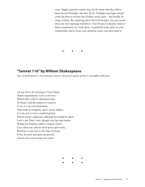ways. Happy married couples may not be aware that they follow these Seven Principles, but they all do. Unhappy marriages always come up short in at least one of these seven areas – and usually in many of them. By mastering these Seven Principles, you can ensure that your own marriage will thrive. You'll learn to identify which if these components are weak spots, or potential weak spots, in your relationship, and to focus your attention where you most need it.

## **"Sonnet 116" by William Shakespeare**

*One of Shakespeare's most famous sonnets, this poem speaks of love's incredible endurance.*

Let me not to the marriage of true minds Admit impediments. Love is not love Which alters when it alteration finds, Or bends with the remover to remove: O no; it is an ever-fixed mark, That looks on tempests, and is never shaken; It is the star to every wandering bark, Whose worth's unknown, although his height be taken. Love's not Time's fool, though rosy lips and cheeks Within his bending sickle's compass come; Love alters not with his brief hours and weeks, But bears it out even to the edge of doom. If this be error and upon me proved, I never writ, nor no man ever loved.

- 
-